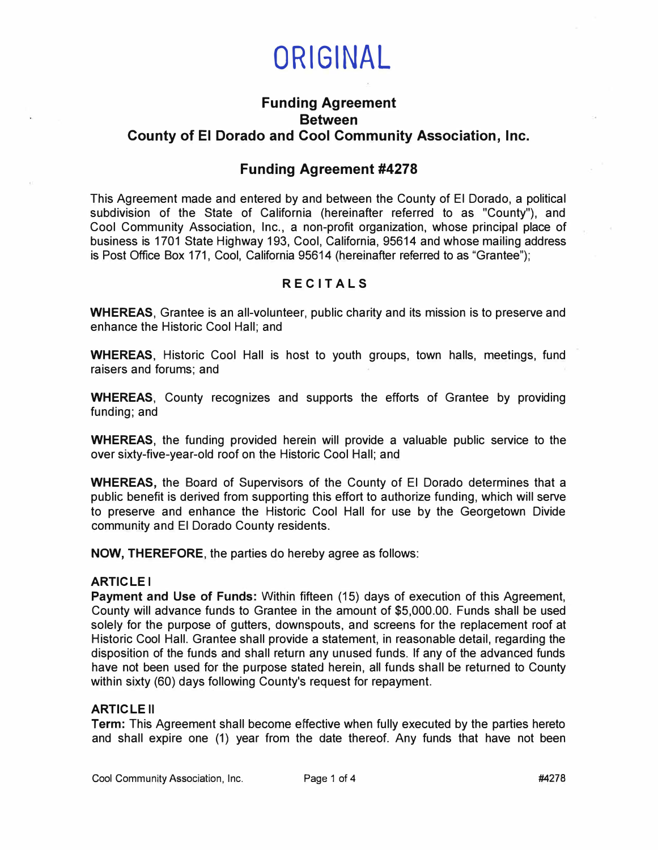

# **Funding Agreement Between County of El Dorado and Cool Community Association, Inc.**

## **Funding Agreement #4278**

This Agreement made and entered by and between the County of El Dorado, a political subdivision of the State of California (hereinafter referred to as "County"), and Cool Community Association, Inc., a non-profit organization, whose principal place of business is 1701 State Highway 193, Cool, California, 95614 and whose mailing address is Post Office Box 171, Cool, California 95614 (hereinafter referred to as "Grantee");

## **R E CITALS**

**WHEREAS,** Grantee is an all-volunteer, public charity and its mission is to preserve and enhance the Historic Cool Hall; and

**WHEREAS,** Historic Cool Hall is host to youth groups, town halls, meetings, fund raisers and forums; and

**WHEREAS,** County recognizes and supports the efforts of Grantee by providing funding; and

**WHEREAS,** the funding provided herein will provide a valuable public service to the over sixty-five-year-old roof on the Historic Cool Hall; and

**WHEREAS,** the Board of Supervisors of the County of El Dorado determines that a public benefit is derived from supporting this effort to authorize funding, which will serve to preserve and enhance the Historic Cool Hall for use by the Georgetown Divide community and El Dorado County residents.

**NOW, THEREFORE ,** the parties do hereby agree as follows:

#### **ARTICLE I**

**Payment and Use of Funds:** Within fifteen (15) days of execution of this Agreement, County will advance funds to Grantee in the amount of \$5,000.00. Funds shall be used solely for the purpose of gutters, downspouts, and screens for the replacement roof at Historic Cool Hall. Grantee shall provide a statement, in reasonable detail, regarding the disposition of the funds and shall return any unused funds. If any of the advanced funds have not been used for the purpose stated herein, all funds shall be returned to County within sixty (60) days following County's request for repayment.

#### **ARTICLE II**

**Term:** This Agreement shall become e'ffective when fully executed by the parties hereto and shall expire one (1) year from the date thereof. Any funds that have not been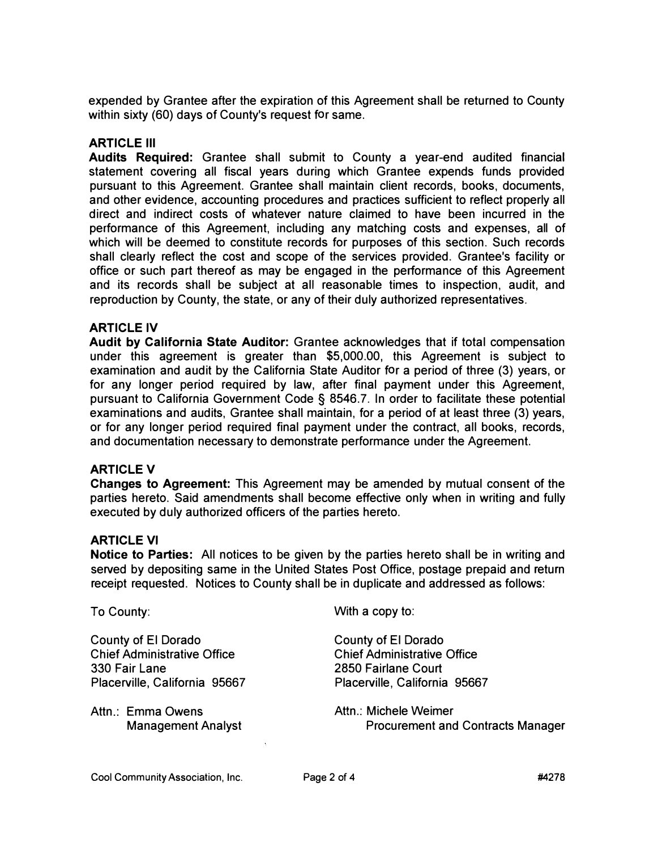expended by Grantee after the expiration of this Agreement shall be returned to County within sixty (60) days of County's request for same.

## **ARTICLE Ill**

**Audits Required:** Grantee shall submit to County a year-end audited financial statement covering all fiscal years during which Grantee expends funds provided pursuant to this Agreement. Grantee shall maintain client records, books, documents, and other evidence, accounting procedures and practices sufficient to reflect properly all direct and indirect costs of whatever nature claimed to have been incurred in the performance of this Agreement, including any matching costs and expenses, all of which will be deemed to constitute records for purposes of this section. Such records shall clearly reflect the cost and scope of the services provided. Grantee's facility or office or such part thereof as may be engaged in the performance of this Agreement and its records shall be subject at all reasonable times to inspection, audit, and reproduction by County, the state, or any of their duly authorized representatives.

## **ARTICLE IV**

**Audit** by **California State Auditor:** Grantee acknowledges that if total compensation under this agreement is greater than \$5,000.00, this Agreement is subject to examination and audit by the California State Auditor for a period of three (3) years, or for any longer period required by law, after final payment under this Agreement, pursuant to California Government Code § 8546.7. In order to facilitate these potential examinations and audits, Grantee shall maintain, for a period of at least three (3) years, or for any longer period required final payment under the contract, all books, records, and documentation necessary to demonstrate performance under the Agreement.

## **ARTICLE V**

**Changes to Agreement:** This Agreement may be amended by mutual consent of the parties hereto. Said amendments shall become effective only when in writing and fully executed by duly authorized officers of the parties hereto.

## **ARTICLE VI**

**Notice to Parties:** All notices to be given by the parties hereto shall be in writing and served by depositing same in the United States Post Office, postage prepaid and return receipt requested. Notices to County shall be in duplicate and addressed as follows:

| To County:                         | With a copy to:                          |
|------------------------------------|------------------------------------------|
| County of El Dorado                | County of El Dorado                      |
| <b>Chief Administrative Office</b> | <b>Chief Administrative Office</b>       |
| 330 Fair Lane                      | 2850 Fairlane Court                      |
| Placerville, California 95667      | Placerville, California 95667            |
| Attn.: Emma Owens                  | Attn.: Michele Weimer                    |
| <b>Management Analyst</b>          | <b>Procurement and Contracts Manager</b> |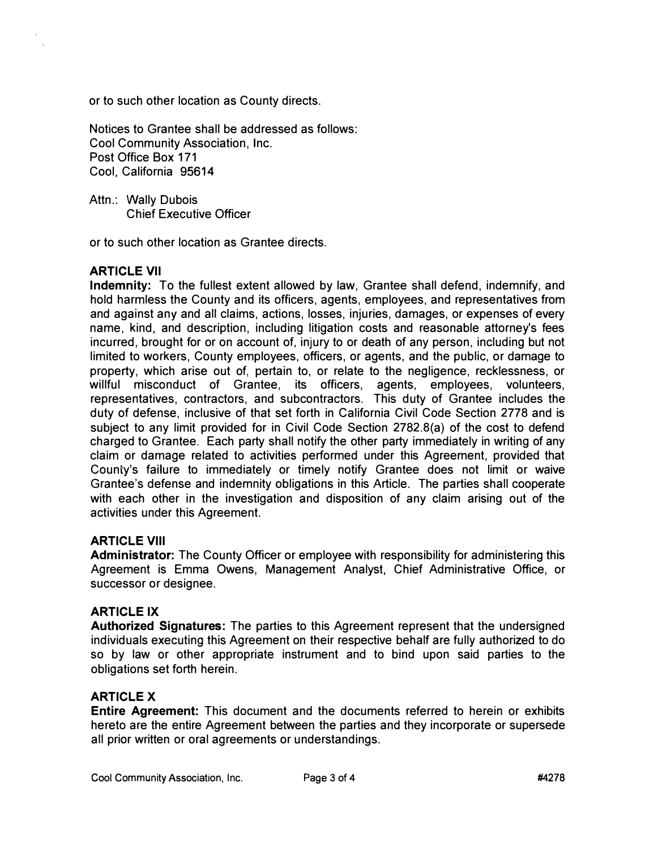or to such other location as County directs.

Notices to Grantee shall be addressed as follows: Cool Community Association, Inc. Post Office Box 171 Cool, California 95614

Attn.: Wally Dubois Chief Executive Officer

or to such other location as Grantee directs.

#### **ARTICLE VII**

**Indemnity:** To the fullest extent allowed by law, Grantee shall defend, indemnify, and hold harmless the County and its officers, agents, employees, and representatives from and against any and all claims, actions, losses, injuries, damages, or expenses of every name, kind, and description, including litigation costs and reasonable attorney's fees incurred, brought for or on account of, injury to or death of any person, including but not limited to workers, County employees, officers, or agents, and the public, or damage to property, which arise out of, pertain to, or relate to the negligence, recklessness, or willful misconduct of Grantee, its officers, agents, employees, volunteers, representatives, contractors, and subcontractors. This duty of Grantee includes the duty of defense, inclusive of that set forth in California Civil Code Section 2778 and is subject to any limit provided for in Civil Code Section 2782.B(a) of the cost to defend charged to Grantee. Each party shall notify the other party immediately in writing of any claim or damage related to activities performed under this Agreement, provided that County's failure to immediately or timely notify Grantee does not limit or waive Grantee's defense and indemnity obligations in this Article. The parties shall cooperate with each other in the investigation and disposition of any claim arising out of the activities under this Agreement.

## **ARTICLE VIII**

**Administrator:** The County Officer or employee with responsibility for administering this Agreement is Emma Owens, Management Analyst, Chief Administrative Office, or successor or designee.

#### **ARTICLE IX**

**Authorized Signatures:** The parties to this Agreement represent that the undersigned individuals executing this Agreement on their respective behalf are fully authorized to do so by law or other appropriate instrument and to bind upon said parties to the obligations set forth herein.

## **ARTICLE X**

**Entire Agreement:** This document and the documents referred to herein or exhibits hereto are the entire Agreement between the parties and they incorporate or supersede all prior written or oral agreements or understandings.